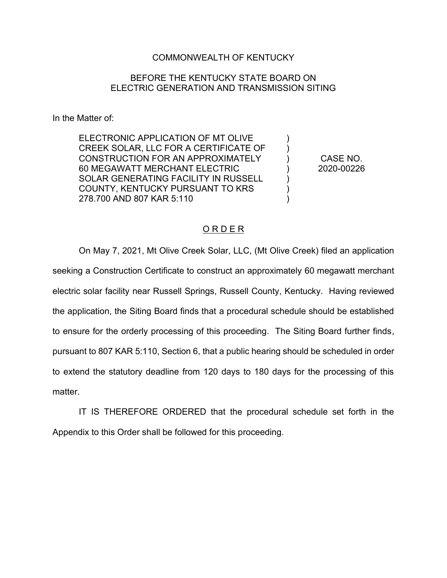## COMMONWEALTH OF KENTUCKY

## BEFORE THE KENTUCKY STATE BOARD ON ELECTRIC GENERATION AND TRANSMISSION SITING

In the Matter of:

ELECTRONIC APPLICATION OF MT OLIVE CREEK SOLAR, LLC FOR A CERTIFICATE OF CONSTRUCTION FOR AN APPROXIMATELY 60 MEGAWATT MERCHANT ELECTRIC SOLAR GENERATING FACILITY IN RUSSELL COUNTY, KENTUCKY PURSUANT TO KRS 278.700 AND 807 KAR 5:110

CASE NO. 2020-00226

) )  $\lambda$ ) ) ) )

## O R D E R

On May 7, 2021, Mt Olive Creek Solar, LLC, (Mt Olive Creek) filed an application seeking a Construction Certificate to construct an approximately 60 megawatt merchant electric solar facility near Russell Springs, Russell County, Kentucky. Having reviewed the application, the Siting Board finds that a procedural schedule should be established to ensure for the orderly processing of this proceeding. The Siting Board further finds, pursuant to 807 KAR 5:110, Section 6, that a public hearing should be scheduled in order to extend the statutory deadline from 120 days to 180 days for the processing of this matter.

IT IS THEREFORE ORDERED that the procedural schedule set forth in the Appendix to this Order shall be followed for this proceeding.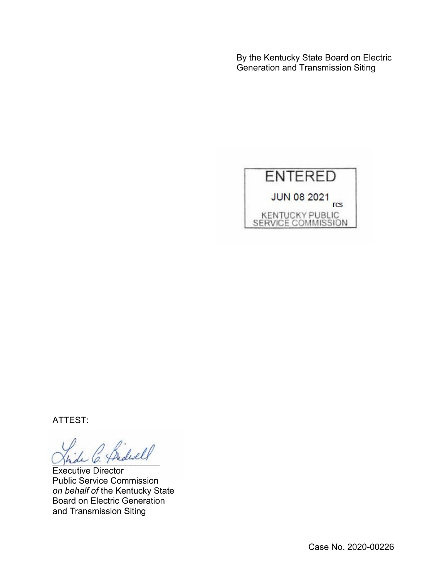By the Kentucky State Board on Electric Generation and Transmission Siting



ATTEST:

 $\ell$ 

Executive Director Public Service Commission *on behalf of* the Kentucky State Board on Electric Generation and Transmission Siting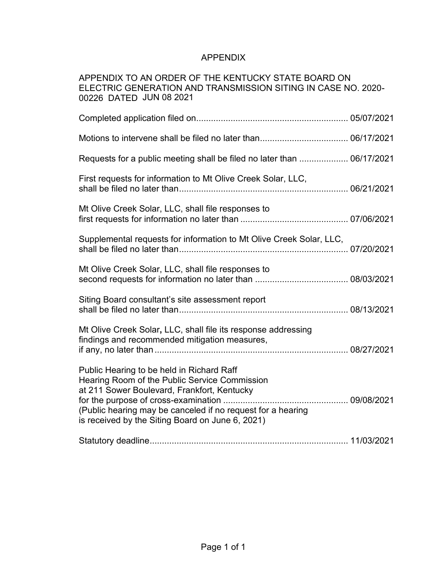## APPENDIX

| APPENDIX TO AN ORDER OF THE KENTUCKY STATE BOARD ON<br>ELECTRIC GENERATION AND TRANSMISSION SITING IN CASE NO. 2020-<br>00226 DATED JUN 08 2021                                                                                                              |  |
|--------------------------------------------------------------------------------------------------------------------------------------------------------------------------------------------------------------------------------------------------------------|--|
|                                                                                                                                                                                                                                                              |  |
|                                                                                                                                                                                                                                                              |  |
| Requests for a public meeting shall be filed no later than  06/17/2021                                                                                                                                                                                       |  |
| First requests for information to Mt Olive Creek Solar, LLC,                                                                                                                                                                                                 |  |
| Mt Olive Creek Solar, LLC, shall file responses to                                                                                                                                                                                                           |  |
| Supplemental requests for information to Mt Olive Creek Solar, LLC,                                                                                                                                                                                          |  |
| Mt Olive Creek Solar, LLC, shall file responses to                                                                                                                                                                                                           |  |
| Siting Board consultant's site assessment report                                                                                                                                                                                                             |  |
| Mt Olive Creek Solar, LLC, shall file its response addressing<br>findings and recommended mitigation measures,                                                                                                                                               |  |
| Public Hearing to be held in Richard Raff<br>Hearing Room of the Public Service Commission<br>at 211 Sower Boulevard, Frankfort, Kentucky<br>(Public hearing may be canceled if no request for a hearing<br>is received by the Siting Board on June 6, 2021) |  |
|                                                                                                                                                                                                                                                              |  |